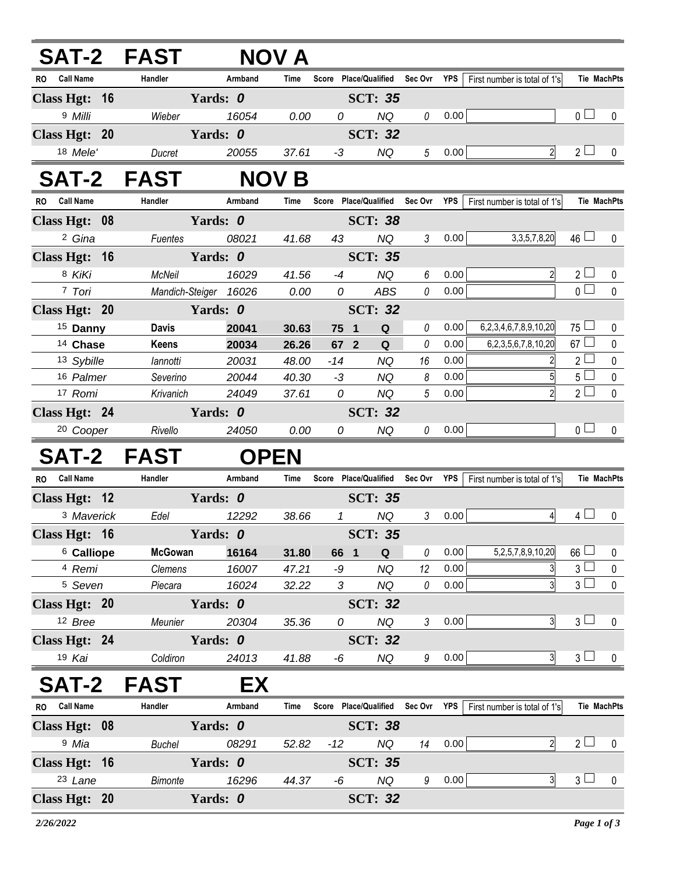| SAT-2 FAST                    |                | <b>NOV A</b>          |       |              |                                   |                 |            |                              |                |                    |
|-------------------------------|----------------|-----------------------|-------|--------------|-----------------------------------|-----------------|------------|------------------------------|----------------|--------------------|
| <b>Call Name</b><br><b>RO</b> | Handler        | Armband               | Time  |              | Score Place/Qualified Sec Ovr     |                 | YPS        | First number is total of 1's |                | <b>Tie MachPts</b> |
| Class Hgt: 16                 |                | Yards: 0              |       |              | <b>SCT: 35</b>                    |                 |            |                              |                |                    |
| 9 Milli                       | Wieber         | 16054                 | 0.00  | 0            | <b>NQ</b>                         | 0               | 0.00       |                              | 0 <sub>l</sub> | 0                  |
| Class Hgt: 20                 |                | Yards: 0              |       |              | <b>SCT: 32</b>                    |                 |            |                              |                |                    |
| 18 Mele'                      | Ducret         | 20055                 | 37.61 | $-3$         | <b>NQ</b>                         | $5\overline{)}$ | 0.00       | $\overline{2}$               | 2 <sub>1</sub> | 0                  |
| SAT-2 FAST                    |                | <b>NOV B</b>          |       |              |                                   |                 |            |                              |                |                    |
| RO Call Name                  | Handler        | Armband               | Time  |              | Score Place/Qualified Sec Ovr     |                 | <b>YPS</b> | First number is total of 1's |                | <b>Tie MachPts</b> |
| Class Hgt: 08                 |                | Yards: 0              |       |              | <b>SCT: 38</b>                    |                 |            |                              |                |                    |
| <sup>2</sup> Gina             | Fuentes        | 08021                 | 41.68 | 43           | <b>NQ</b>                         | 3               | 0.00       | 3, 3, 5, 7, 8, 20            | $46 \Box$      | $\mathbf{0}$       |
| Class Hgt: 16                 |                | Yards: 0              |       |              | <b>SCT: 35</b>                    |                 |            |                              |                |                    |
| 8 KiKi                        | McNeil         | 16029                 | 41.56 | $-4$         | <b>NQ</b>                         | 6               | 0.00       | $\overline{2}$               | 2 <sub>1</sub> | 0                  |
| 7 Tori                        |                | Mandich-Steiger 16026 | 0.00  | 0            | <b>ABS</b>                        | 0               | 0.00       |                              | $\overline{0}$ | $\mathbf 0$        |
| Class Hgt: 20                 |                | Yards: 0              |       |              | <b>SCT: 32</b>                    |                 |            |                              |                |                    |
| <sup>15</sup> Danny           | <b>Davis</b>   | 20041                 | 30.63 | 75 1         | $\mathbf Q$                       | $\it{0}$        | 0.00       | 6,2,3,4,6,7,8,9,10,20        | $75 \Box$      | 0                  |
| <sup>14</sup> Chase           | Keens          | 20034                 | 26.26 | 67 2         | Q                                 | 0               | 0.00       | 6,2,3,5,6,7,8,10,20          | $67 \Box$      | $\pmb{0}$          |
| 13 Sybille                    | lannotti       | 20031                 | 48.00 | $-14$        | <b>NQ</b>                         | 16              | 0.00       |                              | $2\Box$        | $\mathbf 0$        |
| 16 Palmer                     | Severino       | 20044                 | 40.30 | $-3$         | <b>NQ</b>                         | 8               | 0.00       | 5 <sup>1</sup>               | $5\Box$        | $\pmb{0}$          |
| 17 Romi                       | Krivanich      | 24049                 | 37.61 | 0            | <b>NQ</b>                         | 5               | 0.00       | $\overline{2}$               | $2\Box$        | $\mathbf 0$        |
| Class Hgt: 24                 |                | Yards: 0              |       |              | <b>SCT: 32</b>                    |                 |            |                              |                |                    |
| <sup>20</sup> Cooper          | Rivello        | 24050                 | 0.00  | 0            | <b>NQ</b>                         | 0               | 0.00       |                              | 0 <sub>l</sub> | 0                  |
| SAT-2 FAST                    |                | <b>OPEN</b>           |       |              |                                   |                 |            |                              |                |                    |
| RO Call Name                  | Handler        | Armband               | Time  |              | Score Place/Qualified Sec Ovr YPS |                 |            | First number is total of 1's |                | <b>Tie MachPts</b> |
| Class Hgt: 12                 |                | Yards: 0              |       |              | <b>SCT: 35</b>                    |                 |            |                              |                |                    |
| <sup>3</sup> Maverick         | Edel           | 12292                 | 38.66 | $\mathbf{1}$ | <b>NQ</b>                         | 3               | 0.00       | $\overline{4}$               | 4 <sup>1</sup> | $\mathbf{0}$       |
| Class Hgt: 16                 |                | Yards: 0              |       |              | <b>SCT: 35</b>                    |                 |            |                              |                |                    |
| <sup>6</sup> Calliope         | <b>McGowan</b> | 16164                 | 31.80 | 66 1         | Q                                 | 0               | 0.00       | 5,2,5,7,8,9,10,20            | 66L            | 0                  |
| <sup>4</sup> Remi             | Clemens        | 16007                 | 47.21 | -9           | NQ                                | 12              | 0.00       | 31                           | $3\Box$        | 0                  |
| <sup>5</sup> Seven            | Piecara        | 16024                 | 32.22 | 3            | <b>NQ</b>                         | 0               | 0.00       | 3                            | $3\sqcup$      | 0                  |
| Class Hgt: 20                 |                | Yards: 0              |       |              | <b>SCT: 32</b>                    |                 |            |                              |                |                    |
| 12 Bree                       | Meunier        | 20304                 | 35.36 | 0            | <b>NQ</b>                         | 3               | 0.00       | 3                            | 3 <sub>1</sub> | 0                  |
| Class Hgt: 24                 |                | Yards: 0              |       |              | <b>SCT: 32</b>                    |                 |            |                              |                |                    |
| 19 Kai                        | Coldiron       | 24013                 | 41.88 | -6           | NQ                                | 9               | 0.00       | 3                            | 3 <sub>1</sub> | 0                  |
| <b>SAT-2</b>                  | <b>FAST</b>    | EX                    |       |              |                                   |                 |            |                              |                |                    |
| RO Call Name                  | Handler        | Armband               | Time  |              | Score Place/Qualified Sec Ovr YPS |                 |            | First number is total of 1's |                | <b>Tie MachPts</b> |
| Class Hgt: 08                 |                | Yards: 0              |       |              | <b>SCT: 38</b>                    |                 |            |                              |                |                    |
| <sup>9</sup> Mia              | <b>Buchel</b>  | 08291                 | 52.82 | $-12$        | NQ                                | 14              | 0.00       | $\overline{2}$               | $2^{\square}$  | 0                  |
| Class Hgt: 16                 |                | Yards: 0              |       |              | <b>SCT: 35</b>                    |                 |            |                              |                |                    |
| 23 Lane                       | <b>Bimonte</b> | 16296                 | 44.37 | -6           | <b>NQ</b>                         | 9               | 0.00       | 3                            | $3\sqcup$      | 0                  |
| Class Hgt: 20                 |                | Yards: 0              |       |              | <b>SCT: 32</b>                    |                 |            |                              |                |                    |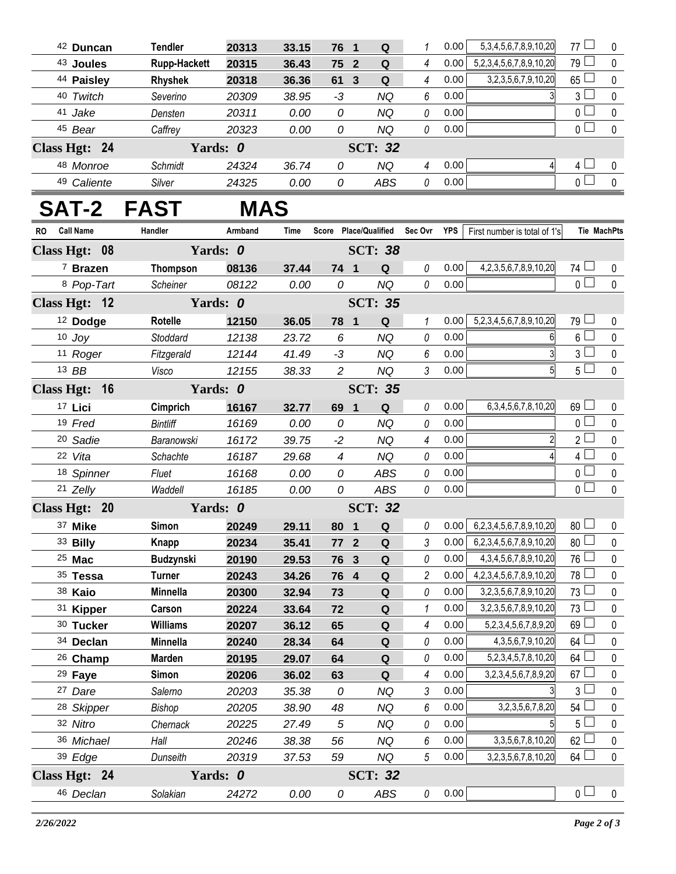| 42 Duncan                                   | Tendler             | 20313 | 33.15 | 76 1 | Q   |   | 0.00 | 5, 3, 4, 5, 6, 7, 8, 9, 10, 20 | $77-$                         | 0        |
|---------------------------------------------|---------------------|-------|-------|------|-----|---|------|--------------------------------|-------------------------------|----------|
| 43 Joules                                   | <b>Rupp-Hackett</b> | 20315 | 36.43 | 75 2 | Q   | 4 | 0.00 | 5,2,3,4,5,6,7,8,9,10,20        | $79 -$                        | $\theta$ |
| 44 Paisley                                  | <b>Rhyshek</b>      | 20318 | 36.36 | 61 3 | Q   | 4 | 0.00 | 3,2,3,5,6,7,9,10,20            | $65 \Box$                     | $\theta$ |
| 40 Twitch                                   | Severino            | 20309 | 38.95 | -3   | ΝQ  | 6 | 0.00 |                                | 3 <sup>1</sup>                | $\Omega$ |
| 41 Jake                                     | Densten             | 20311 | 0.00  | 0    | ΝQ  | 0 | 0.00 |                                | 0 l<br>i<br>S                 | $\Omega$ |
| 45 Bear                                     | Caffrey             | 20323 | 0.00  | 0    | ΝQ  | 0 | 0.00 |                                | $\overline{0}$                | $\Omega$ |
| <b>SCT: 32</b><br>Class Hgt: 24<br>Yards: 0 |                     |       |       |      |     |   |      |                                |                               |          |
| 48 Monroe                                   | Schmidt             | 24324 | 36.74 | 0    | ΝQ  | 4 | 0.00 |                                | $4 \perp$                     | $\Omega$ |
| 49 Caliente                                 | Silver              | 24325 | 0.00  | 0    | ABS | 0 | 0.00 |                                | $\overline{0}$ $\overline{1}$ | $\Omega$ |

## **SAT-2 FAST MAS**

| RO | <b>Call Name</b>        | Handler          | Armband  | Time  |                          |                         |                | Score Place/Qualified Sec Ovr YPS |      | First number is total of 1's   |                 | <b>Tie MachPts</b> |
|----|-------------------------|------------------|----------|-------|--------------------------|-------------------------|----------------|-----------------------------------|------|--------------------------------|-----------------|--------------------|
|    | Class Hgt: 08           |                  | Yards: 0 |       |                          |                         | <b>SCT: 38</b> |                                   |      |                                |                 |                    |
|    | 7 Brazen                | Thompson         | 08136    | 37.44 | 74 1                     |                         | $\mathbf Q$    | 0                                 | 0.00 | 4, 2, 3, 5, 6, 7, 8, 9, 10, 20 | 74 $\Box$       | 0                  |
|    | 8 Pop-Tart              | Scheiner         | 08122    | 0.00  | 0                        |                         | <b>NQ</b>      | $\it{0}$                          | 0.00 |                                | $\overline{0}$  | 0                  |
|    | Class Hgt: 12           |                  | Yards: 0 |       |                          |                         | <b>SCT: 35</b> |                                   |      |                                |                 |                    |
|    | <sup>12</sup> Dodge     | Rotelle          | 12150    | 36.05 | 78 1                     |                         | Q              | 1                                 | 0.00 | 5,2,3,4,5,6,7,8,9,10,20        | $79 \Box$       | 0                  |
|    | $10$ Joy                | Stoddard         | 12138    | 23.72 | 6                        |                         | <b>NQ</b>      | 0                                 | 0.00 | 6                              | $6\phantom{.}$  | $\pmb{0}$          |
|    | 11 Roger                | Fitzgerald       | 12144    | 41.49 | $-3$                     |                         | <b>NQ</b>      | $\boldsymbol{6}$                  | 0.00 | 3                              | 3 <sup>1</sup>  | $\pmb{0}$          |
|    | 13 BB                   | Visco            | 12155    | 38.33 | $\overline{a}$           |                         | <b>NQ</b>      | 3                                 | 0.00 | 5 <sup>1</sup>                 | 5 <sub>1</sub>  | $\mathbf{0}$       |
|    | <b>Class Hgt:</b><br>16 |                  | Yards: 0 |       |                          |                         | <b>SCT: 35</b> |                                   |      |                                |                 |                    |
|    | 17 Lici                 | Cimprich         | 16167    | 32.77 | 69 1                     |                         | $\mathbf Q$    | 0                                 | 0.00 | 6, 3, 4, 5, 6, 7, 8, 10, 20    | 69              | 0                  |
|    | 19 Fred                 | <b>Bintliff</b>  | 16169    | 0.00  | 0                        |                         | <b>NQ</b>      | 0                                 | 0.00 |                                | 0 <sub>1</sub>  | $\mathbf 0$        |
|    | <sup>20</sup> Sadie     | Baranowski       | 16172    | 39.75 | $-2$                     |                         | <b>NQ</b>      | 4                                 | 0.00 | $\overline{c}$                 | 2 <sub>1</sub>  | $\mathbf 0$        |
|    | 22 Vita                 | Schachte         | 16187    | 29.68 | $\overline{\mathcal{A}}$ |                         | <b>NQ</b>      | 0                                 | 0.00 | $\overline{4}$                 | $4\Box$         | $\pmb{0}$          |
|    | 18 Spinner              | Fluet            | 16168    | 0.00  | 0                        |                         | <b>ABS</b>     | 0                                 | 0.00 |                                | $\overline{0}$  | $\pmb{0}$          |
|    | 21 Zelly                | Waddell          | 16185    | 0.00  | 0                        |                         | ABS            | 0                                 | 0.00 |                                | $\overline{0}$  | $\mathbf 0$        |
|    | Class Hgt: 20           |                  | Yards: 0 |       |                          |                         | <b>SCT: 32</b> |                                   |      |                                |                 |                    |
|    | 37 Mike                 | Simon            | 20249    | 29.11 | 80                       | $\overline{\mathbf{1}}$ | $\mathbf Q$    | 0                                 | 0.00 | 6,2,3,4,5,6,7,8,9,10,20        | 80 <sup>1</sup> | 0                  |
|    | 33 Billy                | Knapp            | 20234    | 35.41 | 77 2                     |                         | $\mathbf Q$    | 3                                 | 0.00 | 6,2,3,4,5,6,7,8,9,10,20        | 80              | $\mathbf 0$        |
|    | 25 Mac                  | <b>Budzynski</b> | 20190    | 29.53 | 76                       | $\overline{3}$          | Q              | 0                                 | 0.00 | 4, 3, 4, 5, 6, 7, 8, 9, 10, 20 | 76 $\Box$       | 0                  |
|    | 35 Tessa                | Turner           | 20243    | 34.26 | 76 4                     |                         | Q              | $\overline{c}$                    | 0.00 | 4,2,3,4,5,6,7,8,9,10,20        | 78 L            | $\mathbf 0$        |
|    | 38 Kaio                 | Minnella         | 20300    | 32.94 | 73                       |                         | $\mathbf Q$    | 0                                 | 0.00 | 3,2,3,5,6,7,8,9,10,20          | 73              | 0                  |
|    | 31 Kipper               | Carson           | 20224    | 33.64 | 72                       |                         | Q              | $\mathcal I$                      | 0.00 | 3,2,3,5,6,7,8,9,10,20          | 73              | $\mathbf 0$        |
|    | 30 Tucker               | Williams         | 20207    | 36.12 | 65                       |                         | Q              | 4                                 | 0.00 | 5, 2, 3, 4, 5, 6, 7, 8, 9, 20  | 69              | $\mathbf 0$        |
|    | 34 Declan               | Minnella         | 20240    | 28.34 | 64                       |                         | $\mathbf Q$    | 0                                 | 0.00 | 4, 3, 5, 6, 7, 9, 10, 20       | 64              | $\mathbf 0$        |
|    | <sup>26</sup> Champ     | Marden           | 20195    | 29.07 | 64                       |                         | $\mathbf Q$    | 0                                 | 0.00 | 5,2,3,4,5,7,8,10,20            | 64              | $\mathbf 0$        |
|    | <sup>29</sup> Faye      | Simon            | 20206    | 36.02 | 63                       |                         | Q              | 4                                 | 0.00 | 3,2,3,4,5,6,7,8,9,20           | 67              | $\mathbf 0$        |
|    | 27 Dare                 | Salerno          | 20203    | 35.38 | 0                        |                         | <b>NQ</b>      | 3                                 | 0.00 | 3                              | $\mathfrak{S}$  | $\pmb{0}$          |
|    | <sup>28</sup> Skipper   | Bishop           | 20205    | 38.90 | 48                       |                         | <b>NQ</b>      | 6                                 | 0.00 | 3,2,3,5,6,7,8,20               | 54              | $\mathbf 0$        |
|    | 32 Nitro                | Chernack         | 20225    | 27.49 | $\sqrt{5}$               |                         | <b>NQ</b>      | 0                                 | 0.00 | $\overline{5}$                 | $5\perp$        | $\mathbf 0$        |
|    | 36 Michael              | Hall             | 20246    | 38.38 | 56                       |                         | <b>NQ</b>      | 6                                 | 0.00 | 3, 3, 5, 6, 7, 8, 10, 20       | 62              | $\pmb{0}$          |
|    | 39 Edge                 | Dunseith         | 20319    | 37.53 | 59                       |                         | <b>NQ</b>      | 5                                 | 0.00 | 3,2,3,5,6,7,8,10,20            | $64 \Box$       | $\mathbf{0}$       |
|    | Class Hgt: 24           |                  | Yards: 0 |       |                          |                         | <b>SCT: 32</b> |                                   |      |                                |                 |                    |
|    | 46 Declan               | Solakian         | 24272    | 0.00  | 0                        |                         | <b>ABS</b>     | $\it{0}$                          | 0.00 |                                | $\overline{0}$  | $\pmb{0}$          |